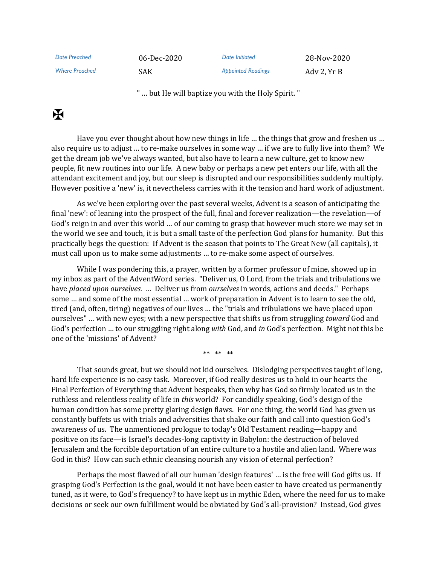| Date Preached         | 06-Dec-2020 | Date Initiated            | 28-Nov-2020 |
|-----------------------|-------------|---------------------------|-------------|
| <b>Where Preached</b> | SAK.        | <b>Appointed Readings</b> | Ady 2. Yr B |

" … but He will baptize you with the Holy Spirit. "

## $\mathbf K$

Have you ever thought about how new things in life … the things that grow and freshen us … also require us to adjust … to re-make ourselves in some way … if we are to fully live into them? We get the dream job we've always wanted, but also have to learn a new culture, get to know new people, fit new routines into our life. A new baby or perhaps a new pet enters our life, with all the attendant excitement and joy, but our sleep is disrupted and our responsibilities suddenly multiply. However positive a 'new' is, it nevertheless carries with it the tension and hard work of adjustment.

As we've been exploring over the past several weeks, Advent is a season of anticipating the final 'new': of leaning into the prospect of the full, final and forever realization—the revelation—of God's reign in and over this world … of our coming to grasp that however much store we may set in the world we see and touch, it is but a small taste of the perfection God plans for humanity. But this practically begs the question: If Advent is the season that points to The Great New (all capitals), it must call upon us to make some adjustments … to re-make some aspect of ourselves.

While I was pondering this, a prayer, written by a former professor of mine, showed up in my inbox as part of the AdventWord series. "Deliver us, O Lord, from the trials and tribulations we have *placed upon ourselves.* … Deliver us from *ourselves* in words, actions and deeds." Perhaps some … and some of the most essential … work of preparation in Advent is to learn to see the old, tired (and, often, tiring) negatives of our lives … the "trials and tribulations we have placed upon ourselves" … with new eyes; with a new perspective that shifts us from struggling *toward* God and God's perfection … to our struggling right along *with* God, and *in* God's perfection. Might not this be one of the 'missions' of Advent?

\*\* \*\* \*\*

That sounds great, but we should not kid ourselves. Dislodging perspectives taught of long, hard life experience is no easy task. Moreover, if God really desires us to hold in our hearts the Final Perfection of Everything that Advent bespeaks, then why has God so firmly located us in the ruthless and relentless reality of life in *this* world? For candidly speaking, God's design of the human condition has some pretty glaring design flaws. For one thing, the world God has given us constantly buffets us with trials and adversities that shake our faith and call into question God's awareness of us. The unmentioned prologue to today's Old Testament reading—happy and positive on its face—is Israel's decades-long captivity in Babylon: the destruction of beloved Jerusalem and the forcible deportation of an entire culture to a hostile and alien land. Where was God in this? How can such ethnic cleansing nourish any vision of eternal perfection?

Perhaps the most flawed of all our human 'design features' … is the free will God gifts us. If grasping God's Perfection is the goal, would it not have been easier to have created us permanently tuned, as it were, to God's frequency? to have kept us in mythic Eden, where the need for us to make decisions or seek our own fulfillment would be obviated by God's all-provision? Instead, God gives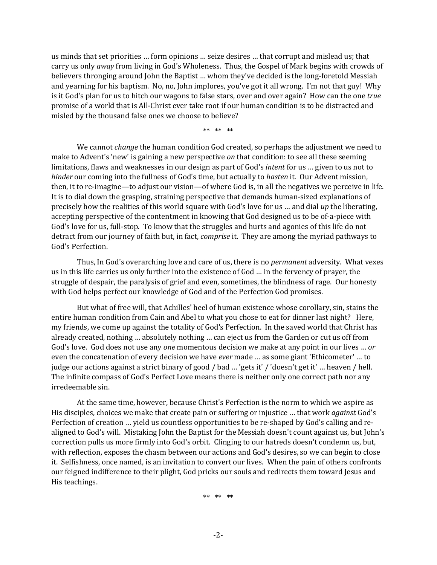us minds that set priorities … form opinions … seize desires … that corrupt and mislead us; that carry us only *away* from living in God's Wholeness. Thus, the Gospel of Mark begins with crowds of believers thronging around John the Baptist … whom they've decided is the long-foretold Messiah and yearning for his baptism. No, no, John implores, you've got it all wrong. I'm not that guy! Why is it God's plan for us to hitch our wagons to false stars, over and over again? How can the one *true* promise of a world that is All-Christ ever take root if our human condition is to be distracted and misled by the thousand false ones we choose to believe?

\*\* \*\* \*\*

We cannot *change* the human condition God created, so perhaps the adjustment we need to make to Advent's 'new' is gaining a new perspective *on* that condition: to see all these seeming limitations, flaws and weaknesses in our design as part of God's *intent* for us … given to us not to *hinder* our coming into the fullness of God's time, but actually to *hasten* it. Our Advent mission, then, it to re-imagine—to adjust our vision—of where God is, in all the negatives we perceive in life. It is to dial down the grasping, straining perspective that demands human-sized explanations of precisely how the realities of this world square with God's love for us … and dial *up* the liberating, accepting perspective of the contentment in knowing that God designed us to be of-a-piece with God's love for us, full-stop. To know that the struggles and hurts and agonies of this life do not detract from our journey of faith but, in fact, *comprise* it. They are among the myriad pathways to God's Perfection.

Thus, In God's overarching love and care of us, there is no *permanent* adversity. What vexes us in this life carries us only further into the existence of God … in the fervency of prayer, the struggle of despair, the paralysis of grief and even, sometimes, the blindness of rage. Our honesty with God helps perfect our knowledge of God and of the Perfection God promises.

But what of free will, that Achilles' heel of human existence whose corollary, sin, stains the entire human condition from Cain and Abel to what you chose to eat for dinner last night? Here, my friends, we come up against the totality of God's Perfection. In the saved world that Christ has already created, nothing … absolutely nothing … can eject us from the Garden or cut us off from God's love. God does not use any *one* momentous decision we make at any point in our lives … *or* even the concatenation of every decision we have *ever* made … as some giant 'Ethicometer' … to judge our actions against a strict binary of good / bad … 'gets it' / 'doesn't get it' … heaven / hell. The infinite compass of God's Perfect Love means there is neither only one correct path nor any irredeemable sin.

At the same time, however, because Christ's Perfection is the norm to which we aspire as His disciples, choices we make that create pain or suffering or injustice … that work *against* God's Perfection of creation … yield us countless opportunities to be re-shaped by God's calling and realigned to God's will. Mistaking John the Baptist for the Messiah doesn't count against us, but John's correction pulls us more firmly into God's orbit. Clinging to our hatreds doesn't condemn us, but, with reflection, exposes the chasm between our actions and God's desires, so we can begin to close it. Selfishness, once named, is an invitation to convert our lives. When the pain of others confronts our feigned indifference to their plight, God pricks our souls and redirects them toward Jesus and His teachings.

\*\* \*\* \*\*